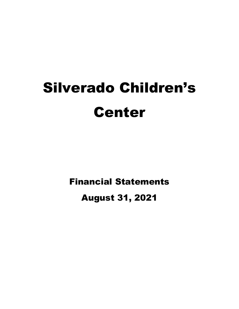# Silverado Children's Center

Financial Statements

August 31, 2021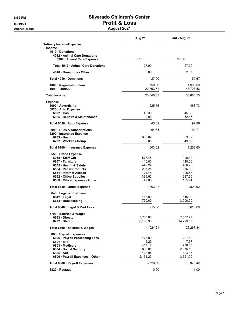# 8:52 PM Silverado Children's Center 09/19/21 Profit & Loss

#### Accrual Basis **August 2021**

|                                                                                                                                                                                              | Aug 21                                                           | <b>Jul - Aug 21</b>                                                |
|----------------------------------------------------------------------------------------------------------------------------------------------------------------------------------------------|------------------------------------------------------------------|--------------------------------------------------------------------|
| <b>Ordinary Income/Expense</b><br><b>Income</b><br>4010 Donations                                                                                                                            |                                                                  |                                                                    |
| 4012 Animal Care Donations<br>6962 · Animal Care Expense                                                                                                                                     | 27.00                                                            | 27.00                                                              |
| Total 4012 Animal Care Donations                                                                                                                                                             | 27.00                                                            | 27.00                                                              |
| 4010 Donations - Other                                                                                                                                                                       | 0.00                                                             | 32.67                                                              |
| Total 4010 Donations                                                                                                                                                                         | 27.00                                                            | 59.67                                                              |
| 4080 · Registration Fees<br>4090 Tuition                                                                                                                                                     | 750.00<br>22,863.51                                              | 1,900.00<br>48,728.86                                              |
| <b>Total Income</b>                                                                                                                                                                          | 23,640.51                                                        | 50,688.53                                                          |
| <b>Expense</b><br>6000 Advertising<br>6020 Auto Expense                                                                                                                                      | 225.56                                                           | 488.73                                                             |
| $6022 \cdot Gas$<br>6025 · Repairs & Maintenance                                                                                                                                             | 45.39<br>0.00                                                    | 45.39<br>52.47                                                     |
| Total 6020 · Auto Expense                                                                                                                                                                    | 45.39                                                            | 97.86                                                              |
| 6090 Dues & Subscriptions<br>6200 · Insurance Expense                                                                                                                                        | 64.73                                                            | 94.71                                                              |
| 6203 · Health<br>6202 · Worker's Comp                                                                                                                                                        | 603.02<br>0.00                                                   | 603.02<br>649.58                                                   |
| Total 6200 · Insurance Expense                                                                                                                                                               | 603.02                                                           | 1,252.60                                                           |
| 6550 Office Expense<br>6958 Staff Gift<br>6957 · Furniture<br>6555 · Health & Safety<br>6554 · Paper Products<br>6551 Internet Access<br>6552 Office Supplies<br>6550 Office Expense - Other | 577.48<br>110.00<br>446.24<br>206.25<br>74.48<br>339.62<br>49.00 | 990.40<br>110.00<br>486.23<br>336.30<br>106.58<br>687.60<br>105.91 |
| Total 6550 Office Expense                                                                                                                                                                    | 1,803.07                                                         | 2,823.02                                                           |
| 6640 Legal & Prof Fees<br>$6642 \cdot$ Legal<br>6644 · Bookkeeping                                                                                                                           | 165.00<br>750.00                                                 | 615.00<br>3,000.00                                                 |
| Total 6640 Legal & Prof Fees                                                                                                                                                                 | 915.00                                                           | 3.615.00                                                           |
| 6790 · Salaries & Wages<br>6793 Director<br>$6792 \cdot$ Staff                                                                                                                               | 3,768.88<br>8,155.33                                             | 7,537.77<br>14,729.57                                              |
| Total 6790 · Salaries & Wages                                                                                                                                                                | 11,924.21                                                        | 22,267.34                                                          |
| 6800 · Payroll Expenses<br>6806 · Payroll Processing Fees<br>6801 · ETT<br>6803 Medicare<br>6804 · Social Security<br>$6805 \cdot SUI$<br>6800 · Payroll Expenses - Other                    | 175.00<br>5.29<br>417.12<br>833.01<br>126.94<br>2,171.23         | 297.50<br>7.77<br>778.00<br>2,376.19<br>194.87<br>3,321.09         |
| Total 6800 · Payroll Expenses                                                                                                                                                                | 3,728.59                                                         | 6,975.42                                                           |
| 6820 Postage                                                                                                                                                                                 | 0.00                                                             | 11.00                                                              |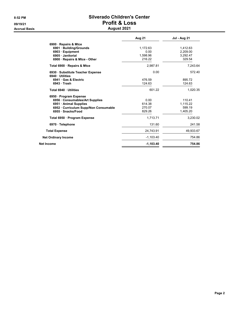Accrual Basis August 2021 and 2021 and 2021 and 2021 and 2021 and 2021 and 2021 and 2021 and 2021 and 2021 and

# 8:52 PM Silverado Children's Center 09/19/21 Profit & Loss

| August 2021 |  |
|-------------|--|
|-------------|--|

|                                                     | <b>Aug 21</b> | <b>Jul - Aug 21</b> |
|-----------------------------------------------------|---------------|---------------------|
| 6900 · Repairs & Mtce                               |               |                     |
| 6901 · Building/Grounds                             | 1,172.63      | 1,412.63            |
| 6903 Equipment                                      | 0.00          | 2,209.00            |
| 6905 · Janitorial                                   | 1,598.96      | 3,292.47            |
| 6900 Repairs & Mtce - Other                         | 216.22        | 329.54              |
| Total 6900 · Repairs & Mtce                         | 2.987.81      | 7.243.64            |
| 6930 · Substitute Teacher Expense<br>6940 Utilities | 0.00          | 572.40              |
| 6941 Gas & Electric                                 | 476.59        | 895.72              |
| 6943 Trash                                          | 124.63        | 124.63              |
| Total 6940 · Utilities                              | 601.22        | 1.020.35            |
| 6950 · Program Expense                              |               |                     |
| 6956 Consumables/Art Supplies                       | 0.00          | 110.41              |
| 6951 • Animal Supplies                              | 614.38        | 1,115.22            |
| 6952 Curriculum Supp/Non Consumable                 | 270.07        | 599.19              |
| 6955 · Snacks/Food                                  | 829.26        | 1,405.20            |
| Total 6950 · Program Expense                        | 1.713.71      | 3.230.02            |
| 6970 · Telephone                                    | 131.60        | 241.58              |
| <b>Total Expense</b>                                | 24,743.91     | 49,933.67           |
| <b>Net Ordinary Income</b>                          | $-1.103.40$   | 754.86              |
| Net Income                                          | $-1,103.40$   | 754.86              |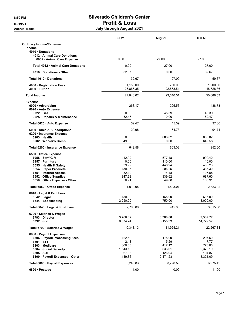# 8:50 PM Silverado Children's Center 09/19/21 Profit & Loss

Accrual Basis **Accrual Basis Accrual Basis July through August 2021** 

|                                                         | <b>Jul 21</b>         | Aug 21              | <b>TOTAL</b>          |
|---------------------------------------------------------|-----------------------|---------------------|-----------------------|
| <b>Ordinary Income/Expense</b>                          |                       |                     |                       |
| <b>Income</b><br>4010 Donations                         |                       |                     |                       |
| 4012 Animal Care Donations                              |                       |                     |                       |
| 6962 Animal Care Expense                                | 0.00                  | 27.00               | 27.00                 |
| Total 4012 Animal Care Donations                        | 0.00                  | 27.00               | 27.00                 |
| 4010 Donations - Other                                  | 32.67                 | 0.00                | 32.67                 |
| Total 4010 Donations                                    | 32.67                 | 27.00               | 59.67                 |
| 4080 · Registration Fees<br>4090 · Tuition              | 1,150.00<br>25,865.35 | 750.00<br>22,863.51 | 1,900.00<br>48,728.86 |
| <b>Total Income</b>                                     | 27,048.02             | 23,640.51           | 50,688.53             |
| <b>Expense</b>                                          |                       |                     |                       |
| 6000 Advertising<br>6020 · Auto Expense                 | 263.17                | 225.56              | 488.73                |
| $6022 \cdot Gas$<br>6025 · Repairs & Maintenance        | 0.00<br>52.47         | 45.39<br>0.00       | 45.39<br>52.47        |
|                                                         |                       |                     |                       |
| Total 6020 · Auto Expense                               | 52.47                 | 45.39               | 97.86                 |
| 6090 · Dues & Subscriptions<br>6200 · Insurance Expense | 29.98                 | 64.73               | 94.71                 |
| 6203 Health<br>6202 · Worker's Comp                     | 0.00<br>649.58        | 603.02<br>0.00      | 603.02<br>649.58      |
| Total 6200 · Insurance Expense                          | 649.58                | 603.02              | 1,252.60              |
| 6550 Office Expense                                     |                       |                     |                       |
| 6958 · Staff Gift                                       | 412.92                | 577.48              | 990.40                |
| 6957 · Furniture                                        | 0.00                  | 110.00              | 110.00                |
| 6555 · Health & Safety                                  | 39.99                 | 446.24              | 486.23                |
| 6554 · Paper Products                                   | 130.05                | 206.25              | 336.30                |
| 6551 Internet Access                                    | 32.10                 | 74.48               | 106.58                |
| 6552 · Office Supplies                                  | 347.98                | 339.62              | 687.60                |
| 6550 · Office Expense - Other                           | 56.91                 | 49.00               | 105.91                |
| Total 6550 Office Expense                               | 1,019.95              | 1,803.07            | 2,823.02              |
| 6640 Legal & Prof Fees                                  |                       |                     |                       |
| 6642 Legal<br>6644 · Bookkeeping                        | 450.00<br>2,250.00    | 165.00<br>750.00    | 615.00<br>3,000.00    |
| Total 6640 · Legal & Prof Fees                          | 2,700.00              | 915.00              | 3,615.00              |
| 6790 · Salaries & Wages                                 |                       |                     |                       |
| 6793 Director                                           | 3,768.89              | 3,768.88            | 7,537.77              |
| $6792 \cdot$ Staff                                      | 6,574.24              | 8,155.33            | 14,729.57             |
| Total 6790 · Salaries & Wages                           | 10,343.13             | 11,924.21           | 22,267.34             |
| 6800 · Payroll Expenses                                 |                       |                     |                       |
| 6806 · Payroll Processing Fees<br>6801 ETT              | 122.50                | 175.00              | 297.50                |
|                                                         | 2.48                  | 5.29                | 7.77                  |
| 6803 Medicare                                           | 360.88                | 417.12              | 778.00                |
| 6804 Social Security                                    | 1,543.18              | 833.01              | 2,376.19              |
| $6805 \cdot SUI$                                        | 67.93                 | 126.94              | 194.87                |
| 6800 · Payroll Expenses - Other                         | 1,149.86              | 2,171.23            | 3,321.09              |
| Total 6800 · Payroll Expenses                           | 3,246.83              | 3,728.59            | 6,975.42              |
| 6820 · Postage                                          | 11.00                 | 0.00                | 11.00                 |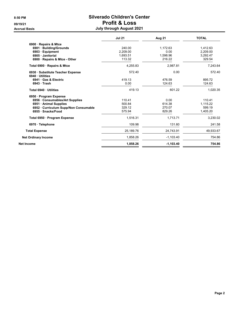### 8:50 PM Silverado Children's Center 09/19/21 Profit & Loss Accrual Basis **Accrual Basis August 2021**

|                                       | <b>Jul 21</b> | Aug 21      | <b>TOTAL</b> |
|---------------------------------------|---------------|-------------|--------------|
| 6900 · Repairs & Mtce                 |               |             |              |
| 6901 · Building/Grounds               | 240.00        | 1,172.63    | 1,412.63     |
| 6903 Equipment                        | 2.209.00      | 0.00        | 2.209.00     |
| 6905 · Janitorial                     | 1.693.51      | 1,598.96    | 3,292.47     |
| 6900 · Repairs & Mtce - Other         | 113.32        | 216.22      | 329.54       |
| Total 6900 · Repairs & Mtce           | 4,255.83      | 2,987.81    | 7,243.64     |
| 6930 · Substitute Teacher Expense     | 572.40        | 0.00        | 572.40       |
| 6940 Utilities                        |               |             |              |
| 6941 Gas & Electric                   | 419.13        | 476.59      | 895.72       |
| 6943 Trash                            | 0.00          | 124.63      | 124.63       |
| Total 6940 Utilities                  | 419.13        | 601.22      | 1,020.35     |
| 6950 Program Expense                  |               |             |              |
| 6956 Consumables/Art Supplies         | 110.41        | 0.00        | 110.41       |
| 6951 Animal Supplies                  | 500.84        | 614.38      | 1,115.22     |
| 6952 · Curriculum Supp/Non Consumable | 329.12        | 270.07      | 599.19       |
| 6955 · Snacks/Food                    | 575.94        | 829.26      | 1,405.20     |
| Total 6950 · Program Expense          | 1,516.31      | 1,713.71    | 3,230.02     |
| 6970 · Telephone                      | 109.98        | 131.60      | 241.58       |
| <b>Total Expense</b>                  | 25,189.76     | 24,743.91   | 49,933.67    |
| <b>Net Ordinary Income</b>            | 1,858.26      | $-1,103.40$ | 754.86       |
| Net Income                            | 1,858.26      | $-1,103.40$ | 754.86       |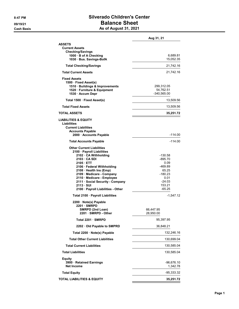### 8:47 PM Silverado Children's Center 09/19/21 Balance Sheet Cash Basis **As of August 31, 2021**

|                                                                                                                                                                                                        | Aug 31, 21                                                              |
|--------------------------------------------------------------------------------------------------------------------------------------------------------------------------------------------------------|-------------------------------------------------------------------------|
| <b>ASSETS</b><br><b>Current Assets</b><br><b>Checking/Savings</b>                                                                                                                                      |                                                                         |
| 1000 · B of A Checking<br>1030 Bus. Savings-BofA                                                                                                                                                       | 6,689.81<br>15,052.35                                                   |
| <b>Total Checking/Savings</b>                                                                                                                                                                          | 21,742.16                                                               |
| <b>Total Current Assets</b>                                                                                                                                                                            | 21,742.16                                                               |
| <b>Fixed Assets</b><br>1500 · Fixed Asset(s)<br>1510 · Buildings & Improvements<br>1520 · Furniture & Equipment<br>1530 · Accum Depr                                                                   | 299,312.05<br>54,762.51<br>$-340,565.00$                                |
| Total 1500 · Fixed Asset(s)                                                                                                                                                                            | 13,509.56                                                               |
| <b>Total Fixed Assets</b>                                                                                                                                                                              | 13,509.56                                                               |
| <b>TOTAL ASSETS</b>                                                                                                                                                                                    | 35,251.72                                                               |
| <b>LIABILITIES &amp; EQUITY</b><br>Liabilities<br><b>Current Liabilities</b><br><b>Accounts Payable</b><br>2000 · Accounts Payable                                                                     | $-114.00$                                                               |
|                                                                                                                                                                                                        | -114.00                                                                 |
| <b>Total Accounts Payable</b><br><b>Other Current Liabilities</b><br>2100 · Payroll Liabilities                                                                                                        |                                                                         |
| 2102 CA Withholding<br>2103 CA SDI<br>2105 · ETT                                                                                                                                                       | -130.58<br>$-895.70$<br>0.09                                            |
| 2106 · Federal Withholding<br>2108 · Health Ins (Emp)<br>2109 · Medicare - Company<br>2110 · Medicare - Employee<br>2111 · Social Security - Company<br>2113 SUI<br>2100 · Payroll Liabilities - Other | $-469.89$<br>65.25<br>-180.23<br>0.01<br>$-24.03$<br>153.21<br>$-65.25$ |
| Total 2100 · Payroll Liabilities                                                                                                                                                                       | -1,547.12                                                               |
| 2200 Note(s) Payable<br>2201 SMRPD<br>SMRPD (2nd Loan)<br>2201 · SMRPD - Other                                                                                                                         | 66,447.95<br>28,950.00                                                  |
| Total 2201 · SMRPD                                                                                                                                                                                     | 95,397.95                                                               |
| 2202 Old Payable to SMPRD                                                                                                                                                                              | 36,848.21                                                               |
| Total 2200 · Note(s) Payable                                                                                                                                                                           | 132,246.16                                                              |
| <b>Total Other Current Liabilities</b>                                                                                                                                                                 | 130,699.04                                                              |
| <b>Total Current Liabilities</b>                                                                                                                                                                       | 130,585.04                                                              |
| <b>Total Liabilities</b>                                                                                                                                                                               | 130,585.04                                                              |
| Equity<br>3900 · Retained Earnings<br><b>Net Income</b>                                                                                                                                                | -96,676.10<br>1,342.78                                                  |
| <b>Total Equity</b>                                                                                                                                                                                    | -95,333.32                                                              |
| <b>TOTAL LIABILITIES &amp; EQUITY</b>                                                                                                                                                                  | 35,251.72                                                               |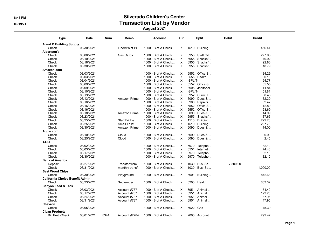#### 8:45 PM Silverado Children's Center 09/19/21 OP/19/21 August 2021

Type Date Num Memo Account Clr Split Debit Credit A and D Building Supply<br>Check 08/30/2021 Check 08/30/2021 Floor/Paint Pr... 1000 · B of A Check... X 1510 · Building... 456.44 Albertson's 08/06/2021 Gas Cards 1000 B of A Check... X 6958 Staff Gift 277.93<br>08/10/2021 1000 B of A Check... X 6955 Snacks/... 40.92 Check 08/10/2021 1000 · B of A Check... X 6955 · Snacks/... 40.92  $1000 \cdot B$  of A Check... Check 08/30/2021 08:00 1000 · B of A Check... X 6955 · Snacks/... 18.79 Amazon.com Check 08/03/2021 1000 · B of A Check... X 6552 · Office S... 134.29 Check 08/03/2021 1000 · B of A Check... X 6555 · Health ... 30.16 Check 08/04/2021 1000 · B of A Check... X -SPLIT- 94.77 Check 08/09/2021 000 · B of A Check... X 6552 · Office S... 35.55<br>Check 08/09/2021 000 · B of A Check X 6905 · Janiforial 11.84 Check 08/09/2021 1000 · B of A Check... X 6905 · Janitorial 11.84

| אטווט                                  | <b>UUIUSIZUZ I</b> |      |                     | $1000 \div D$ of A GHEGN  |          | USUJ Jahuunal         |          | <b>11.04</b> |  |
|----------------------------------------|--------------------|------|---------------------|---------------------------|----------|-----------------------|----------|--------------|--|
| Check                                  | 08/10/2021         |      |                     | 1000 · B of A Check       | X        | -SPLIT-               |          | 51.81        |  |
| Check                                  | 08/13/2021         |      |                     | $1000 \cdot B$ of A Check | X        | 6952 · Curricul       |          | 38.48        |  |
| Check                                  | 08/13/2021         |      | Amazon Prime        | $1000 \cdot B$ of A Check | X        | $6090 \cdot$ Dues &   |          | 32.30        |  |
| Check                                  | 08/16/2021         |      |                     | $1000 \cdot B$ of A Check | X        | 6900 · Repairs        |          | 32.42        |  |
| Check                                  | 08/16/2021         |      |                     | $1000 \cdot B$ of A Check | X        | $6552 \cdot$ Office S |          | 12.80        |  |
| Check                                  | 08/16/2021         |      |                     | $1000 \cdot B$ of A Check | X        | $6552 \cdot$ Office S |          | 23.69        |  |
| Check                                  | 08/18/2021         |      | Amazon Prime        | $1000 \cdot B$ of A Check | X        | $6090 \cdot$ Dues &   |          | 14.99        |  |
| Check                                  | 08/23/2021         |      |                     | $1000 \cdot B$ of A Check | X        | $6955 \cdot$ Snacks/  |          | 37.66        |  |
| Check                                  | 08/25/2021         |      | Staff Fridge        | $1000 \cdot B$ of A Check | X        | $1510 \cdot$ Building |          | 222.73       |  |
| Check                                  | 08/25/2021         |      | <b>Small Toilet</b> | $1000 \cdot B$ of A Check | X        | $1510 \cdot$ Building |          | 297.76       |  |
| Check                                  | 08/30/2021         |      | Amazon Prime        | $1000 \cdot B$ of A Check | X        | $6090 \cdot$ Dues &   |          | 14.00        |  |
| Apple.com                              |                    |      |                     |                           |          |                       |          |              |  |
| Check                                  | 08/10/2021         |      | Cloud               | $1000 \cdot B$ of A Check | X        | $6090 \cdot$ Dues &   |          | 0.99         |  |
| Check                                  | 08/25/2021         |      | Cloud               | $1000 \cdot B$ of A Check | $\times$ | $6090 \cdot$ Dues &   |          | 2.45         |  |
| AT&T                                   |                    |      |                     |                           |          |                       |          |              |  |
| Check                                  | 08/02/2021         |      |                     | $1000 \cdot B$ of A Check | $\times$ | 6970 · Telepho        |          | 32.10        |  |
| Check                                  | 08/03/2021         |      |                     | $1000 \cdot B$ of A Check | X        | $6551 \cdot$ Internet |          | 74.48        |  |
| Check                                  | 08/17/2021         |      |                     | $1000 \cdot B$ of A Check | X        | 6970 · Telepho        |          | 32.10        |  |
| Check                                  | 08/30/2021         |      |                     | $1000 \cdot B$ of A Check | X        | 6970 · Telepho        |          | 32.10        |  |
| <b>Bank of America</b>                 |                    |      |                     |                           |          |                       |          |              |  |
| Deposit                                | 08/27/2021         |      | Transfer from       | $1000 \cdot B$ of A Check | $\times$ | $1030 \cdot$ Bus. Sa  | 7,500.00 |              |  |
| Check                                  | 08/31/2021         |      | monthly transf      | $1000 \cdot B$ of A Check | $\times$ | $1030 \cdot$ Bus. Sa  |          | 1,000.00     |  |
| <b>Best Wood Chips</b>                 |                    |      |                     |                           |          |                       |          |              |  |
| Check                                  | 08/30/2021         |      | Playground          | $1000 \cdot B$ of A Check | X        | $6901 \cdot$ Building |          | 872.63       |  |
| <b>California Choice Benefit Admin</b> |                    |      |                     |                           |          |                       |          |              |  |
| Check                                  | 08/23/2021         |      | September           | $1000 \cdot B$ of A Check | X        | $6203 \cdot$ Health   |          | 603.02       |  |
| <b>Canyon Feed &amp; Tack</b>          |                    |      |                     |                           |          |                       |          |              |  |
| Check                                  | 08/03/2021         |      | Account #737        | $1000 \cdot B$ of A Check | $\times$ | $6951 \cdot$ Animal   |          | 81.40        |  |
| Check                                  | 08/17/2021         |      | Account #737        | $1000 \cdot B$ of A Check | X        | $6951 \cdot$ Animal   |          | 123.26       |  |
| Check                                  | 08/24/2021         |      | Account #737        | $1000 \cdot B$ of A Check | X        | $6951 \cdot$ Animal   |          | 67.95        |  |
| Check                                  | 08/31/2021         |      | Account #737        | $1000 \cdot B$ of A Check | X        | $6951 \cdot$ Animal   |          | 47.95        |  |
| Chevron                                |                    |      |                     |                           |          |                       |          |              |  |
| Check                                  | 08/05/2021         |      |                     | $1000 \cdot B$ of A Check | X        | $6022 \cdot Gas$      |          | 45.39        |  |
| <b>Clean Products</b>                  |                    |      |                     |                           |          |                       |          |              |  |
| <b>Bill Pmt -Check</b>                 | 08/01/2021         | 8344 | Account #2784       | $1000 \cdot B$ of A Check | X        | $2000 \cdot$ Account  |          | 792.42       |  |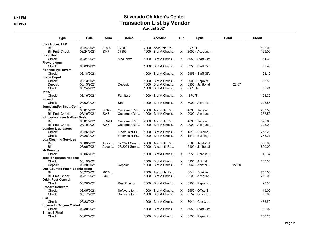## 8:45 PM Silverado Children's Center 09/19/21 and the contraction Community of Transaction List by Vendor

August 2021

| <b>Type</b>                          | <b>Date</b>              | Num          | Memo           | <b>Account</b>                                         | Clr      | <b>Split</b>                               | <b>Debit</b> | Credit |
|--------------------------------------|--------------------------|--------------|----------------|--------------------------------------------------------|----------|--------------------------------------------|--------------|--------|
| Cole Huber, LLP                      |                          |              |                |                                                        |          |                                            |              |        |
| Bill                                 | 08/24/2021               | 37800        | 37800          | 2000 · Accounts Pa                                     |          | -SPLIT-                                    |              | 165.00 |
| <b>Bill Pmt -Check</b>               | 08/24/2021               | 8347         | 37800          | $1000 \cdot B$ of A Check                              | $\times$ | $2000 \cdot$ Account                       |              | 165.00 |
| Door Dash                            |                          |              |                |                                                        |          |                                            |              |        |
| Check                                | 08/31/2021               |              | Mod Pizza      | $1000 \cdot B$ of A Check                              | X        | 6958 · Staff Gift                          |              | 91.60  |
| Flowers.com                          |                          |              |                |                                                        |          |                                            |              |        |
| Check                                | 08/09/2021               |              |                | $1000 \cdot B$ of A Check                              | X        | 6958 · Staff Gift                          |              | 99.49  |
| <b>Hennesseys Tavern</b>             |                          |              |                |                                                        |          |                                            |              |        |
| Check                                | 08/18/2021               |              |                | $1000 \cdot B$ of A Check                              | X        | $6958 \cdot$ Staff Gift                    |              | 68.19  |
| <b>Home Depot</b>                    |                          |              |                |                                                        |          |                                            |              |        |
| Check                                | 08/13/2021               |              |                | $1000 \cdot B$ of A Check                              | X        | 6900 $\cdot$ Repairs                       |              | 35.53  |
| Deposit                              | 08/13/2021               |              | Deposit        | $1000 \cdot B$ of A Check                              | $\times$ | 6905 · Janitorial                          | 22.87        |        |
| Check                                | 08/24/2021               |              |                | $1000 \cdot B$ of A Check                              | $\times$ | -SPLIT-                                    |              | 75.21  |
| <b>IKEA</b>                          |                          |              |                |                                                        |          |                                            |              |        |
| Check                                | 08/16/2021               |              | Furniture      | $1000 \cdot B$ of A Check                              | X        | -SPLIT-                                    |              | 194.39 |
| Indeed                               |                          |              |                |                                                        |          |                                            |              |        |
| Check                                | 08/02/2021               |              | <b>Staff</b>   | $1000 \cdot B$ of A Check                              | X        | $6000 \cdot$ Advertis                      |              | 225.56 |
| Jenny and/or Scott Connor            |                          |              |                |                                                        |          |                                            |              |        |
| Bill                                 | 08/01/2021               | CONN         | Customer Ref   | $2000 \cdot$ Accounts Pa                               |          | 4090 · Tuition                             |              | 287.50 |
| <b>Bill Pmt -Check</b>               | 08/10/2021               | 8345         | Customer Ref   | $1000 \cdot B$ of A Check                              | X.       | $2000 \cdot$ Account                       |              | 287.50 |
| Kimberly and/or Nathan Brais         |                          |              |                |                                                        |          |                                            |              |        |
| Bill                                 | 08/01/2021               | <b>BRAIS</b> | Customer Ref   | $2000 \cdot$ Accounts Pa                               |          | $4090 \cdot$ Tuition                       |              | 325.00 |
| <b>Bill Pmt -Check</b>               | 08/10/2021               | 8346         | Customer Ref   | $1000 \cdot B$ of A Check                              | X        | $2000 \cdot$ Account                       |              | 325.00 |
| <b>Lumber Liquidators</b>            |                          |              |                |                                                        |          |                                            |              |        |
| Check                                | 08/26/2021               |              | Floor/Paint Pr | $1000 \cdot B$ of A Check                              | Χ        | $1510 \cdot$ Building                      |              | 775.22 |
| Check                                | 08/26/2021               |              | Floor/Paint Pr | 1000 · B of A Check                                    | X        | $1510 \cdot$ Building                      |              | 775.21 |
| <b>Lux Cleaning Services</b>         |                          |              |                |                                                        |          |                                            |              |        |
| Bill                                 | 08/06/2021               | July 2       | 07/2021 Servi  | 2000 Accounts Pa                                       |          | 6905 · Janitorial                          |              | 800.00 |
| Bill                                 | 08/06/2021               | Augus        | 08/2021 Servi  | 2000 · Accounts Pa                                     |          | 6905 · Janitorial                          |              | 800.00 |
| <b>McDonalds</b>                     |                          |              |                |                                                        |          |                                            |              |        |
| Check                                | 08/06/2021               |              |                | $1000 \cdot B$ of A Check                              | X        | $6955 \cdot$ Snacks/                       |              | 10.32  |
|                                      |                          |              |                |                                                        |          |                                            |              |        |
| <b>Mission Equine Hospital</b>       |                          |              |                |                                                        |          |                                            |              |        |
| Check                                | 08/19/2021<br>08/20/2021 |              |                | $1000 \cdot B$ of A Check<br>$1000 \cdot B$ of A Check | Χ<br>X   | $6951 \cdot$ Animal<br>$6962 \cdot$ Animal | 27.00        | 285.00 |
| Deposit                              |                          |              | Deposit        |                                                        |          |                                            |              |        |
| <b>One Counted Finch Bookkeeping</b> |                          |              |                |                                                        |          |                                            |              |        |
| Bill                                 | 08/27/2021               | 2021-        |                | 2000 Accounts Pa                                       |          | $6644 \cdot \text{Bookke}$                 |              | 750.00 |
| <b>Bill Pmt -Check</b>               | 08/27/2021               | 8349         |                | $1000 \cdot B$ of A Check                              |          | $2000 \cdot$ Account                       |              | 750.00 |
| <b>Orkin Pest Control</b>            |                          |              |                |                                                        |          |                                            |              |        |
| Check                                | 08/20/2021               |              | Pest Control   | $1000 \cdot B$ of A Check                              | X        | $6900 \cdot$ Repairs                       |              | 98.00  |
| <b>Procare Software</b>              |                          |              |                |                                                        |          |                                            |              |        |
| Check                                | 08/05/2021               |              | Software for   | $1000 \cdot B$ of A Check                              | X        | $6550 \cdot$ Office E                      |              | 49.00  |
| Check                                | 08/17/2021               |              | Software for   | $1000 \cdot B$ of A Check                              | X        | $6552 \cdot$ Office S                      |              | 79.00  |
| <b>SCE</b>                           |                          |              |                |                                                        |          |                                            |              |        |
| Check                                | 08/23/2021               |              |                | $1000 \cdot B$ of A Check                              | X        | $6941 \cdot$ Gas &                         |              | 476.59 |
| Silverado Canyon Market              |                          |              |                |                                                        |          |                                            |              |        |
| Check                                | 08/30/2021               |              |                | $1000 \cdot B$ of A Check                              | X        | 6958 · Staff Gift                          |              | 22.07  |
| <b>Smart &amp; Final</b>             |                          |              |                |                                                        |          |                                            |              |        |
| Check                                | 08/02/2021               |              |                | $1000 \cdot B$ of A Check                              | X        | $6554 \cdot$ Paper P                       |              | 206.25 |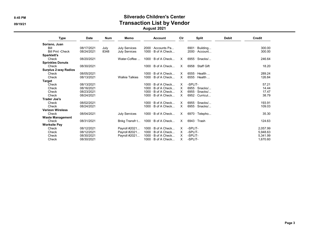# 8:45 PM Silverado Children's Center 09/19/21 and the contraction Community of Transaction List by Vendor

August 2021

| <b>Type</b>                 | <b>Date</b> | <b>Num</b> | Memo                  | <b>Account</b>            | Cir      | Split                 | <b>Debit</b> | Credit   |
|-----------------------------|-------------|------------|-----------------------|---------------------------|----------|-----------------------|--------------|----------|
| Soriano, Juan               |             |            |                       |                           |          |                       |              |          |
| Bill                        | 08/17/2021  | July       | <b>July Services</b>  | $2000 \cdot$ Accounts Pa  |          | $6901 \cdot$ Building |              | 300.00   |
| <b>Bill Pmt -Check</b>      | 08/24/2021  | 8348       | July Services         | $1000 \cdot B$ of A Check |          | $2000 \cdot$ Account  |              | 300.00   |
| Sparklett's                 |             |            |                       |                           |          |                       |              |          |
| Check                       | 08/20/2021  |            | Water-Coffee          | $1000 \cdot B$ of A Check | X.       | $6955 \cdot$ Snacks/  |              | 246.64   |
| <b>Sprinkles Donuts</b>     |             |            |                       |                           |          |                       |              |          |
| Check                       | 08/30/2021  |            |                       | $1000 \cdot B$ of A Check | X        | 6958 · Staff Gift     |              | 18.20    |
| <b>Surplus 2-way Radios</b> |             |            |                       |                           |          |                       |              |          |
| Check                       | 08/05/2021  |            |                       | $1000 \cdot B$ of A Check | X        | $6555 \cdot$ Health   |              | 289.24   |
| Check                       | 08/13/2021  |            | <b>Walkie Talkies</b> | $1000 \cdot B$ of A Check | $\times$ | $6555 \cdot$ Health   |              | 126.84   |
| Target                      |             |            |                       |                           |          |                       |              |          |
| Check                       | 08/13/2021  |            |                       | $1000 \cdot B$ of A Check | X        | -SPLIT-               |              | 57.21    |
| Check                       | 08/16/2021  |            |                       | $1000 \cdot B$ of A Check | X        | $6955 \cdot$ Snacks/  |              | 14.44    |
| Check                       | 08/23/2021  |            |                       | $1000 \cdot B$ of A Check | X        | $6955 \cdot$ Snacks/  |              | 17.47    |
| Check                       | 08/24/2021  |            |                       | $1000 \cdot B$ of A Check | X        | $6952 \cdot$ Curricul |              | 38.79    |
| <b>Trader Joe's</b>         |             |            |                       |                           |          |                       |              |          |
| Check                       | 08/02/2021  |            |                       | $1000 \cdot B$ of A Check | X        | $6955 \cdot$ Snacks/  |              | 193.91   |
| Check                       | 08/24/2021  |            |                       | $1000 \cdot B$ of A Check | $\times$ | $6955 \cdot$ Snacks/  |              | 109.03   |
| <b>Verizon Wireless</b>     |             |            |                       |                           |          |                       |              |          |
| Check                       | 08/04/2021  |            | <b>July Services</b>  | $1000 \cdot B$ of A Check | X        | $6970 \cdot$ Telepho  |              | 35.30    |
| <b>Waste Management</b>     |             |            |                       |                           |          |                       |              |          |
| Check                       | 08/31/2021  |            | Bnkg Transfr t        | $1000 \cdot B$ of A Check | X        | $6943 \cdot$ Trash    |              | 124.63   |
| <b>Worksite Pay</b>         |             |            |                       |                           |          |                       |              |          |
| Check                       | 08/12/2021  |            | Payroll #2021         | $1000 \cdot B$ of A Check | X        | -SPLIT-               |              | 2,057.99 |
| Check                       | 08/12/2021  |            | Payroll #2021         | $1000 \cdot B$ of A Check | X        | -SPLIT-               |              | 5,948.63 |
| Check                       | 08/30/2021  |            | Payroll #2021         | $1000 \cdot B$ of A Check | X        | -SPLIT-               |              | 5,341.99 |
| Check                       | 08/30/2021  |            |                       | $1000 \cdot B$ of A Check | X        | -SPLIT-               |              | 1,670.60 |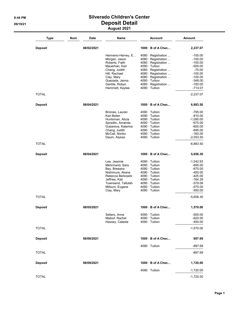#### 8:44 PM Silverado Children's Center 09/19/21 Deposit Detail August 2021

| Type           | <b>Num</b> | <b>Date</b> | Name                              | <b>Account</b>                                    | Amount                 |
|----------------|------------|-------------|-----------------------------------|---------------------------------------------------|------------------------|
| <b>Deposit</b> |            | 08/02/2021  |                                   | $1000 \cdot B$ of A Chec                          | 2,237.07               |
|                |            |             | Hermeno-Harvey, E                 | 4080 · Registration                               | $-100.00$              |
|                |            |             | Morgan, Jason                     | 4080 · Registration                               | $-100.00$              |
|                |            |             | Roberts, Faith                    | 4080 · Registration                               | $-100.00$              |
|                |            |             | Mauerhan, Keri                    | $4090 \cdot$ Tuition                              | $-500.00$              |
|                |            |             | Chang, Judith                     | 4080 · Registration                               | $-75.00$               |
|                |            |             | Hill, Rachael                     | 4080 · Registration                               | $-100.00$              |
|                |            |             | Clay, Mary<br>Quezada, Jenna      | $4080 \cdot$ Registration<br>$4090 \cdot$ Tuition | $-100.00$<br>$-348.00$ |
|                |            |             | Gentile, Robyn                    | 4080 · Registration                               | $-100.00$              |
|                |            |             | Hammett, Kaylee                   | $4090 \cdot$ Tuition                              | $-714.07$              |
| <b>TOTAL</b>   |            |             |                                   |                                                   | $-2,237.07$            |
| <b>Deposit</b> |            | 08/04/2021  |                                   | $1000 \cdot B$ of A Chec                          | 6,883.50               |
|                |            |             | Briones, Lauren                   | $4090 \cdot$ Tuition                              | $-795.00$              |
|                |            |             | Kari Beiter                       | $4090 \cdot$ Tuition                              | $-810.00$              |
|                |            |             | Huntsman, Alicia                  | $4090 \cdot$ Tuition                              | $-1,095.00$            |
|                |            |             | Spradlin, Amanda                  | 4090 · Tuition                                    | $-675.00$              |
|                |            |             | Gubareva, Katerina                | $4090 \cdot$ Tuition<br>$4090 \cdot$ Tuition      | $-600.00$<br>$-695.00$ |
|                |            |             | Chang, Judith<br>McCall, Noriko   | $4090 \cdot$ Tuition                              | $-160.00$              |
|                |            |             | Daum, Alyssa                      | $4090 \cdot$ Tuition                              | $-2,053.50$            |
| <b>TOTAL</b>   |            |             |                                   |                                                   | $-6,883.50$            |
| <b>Deposit</b> |            | 08/04/2021  |                                   | 1000 B of A Chec                                  | 5,656.30               |
|                |            |             | Lee, Jeannie                      | $4090 \cdot$ Tuition                              | $-1,542.93$            |
|                |            |             | Mehrmand, Sara                    | $4090 \cdot$ Tuition                              | $-695.00$              |
|                |            |             | Bey, Breeana                      | $4090 \cdot$ Tuition                              | $-675.00$              |
|                |            |             | Nishimura, Akane                  | $4090 \cdot$ Tuition                              | $-450.00$              |
|                |            |             | Rebecca Berkowitz                 | $4090 \cdot$ Tuition                              | $-425.00$              |
|                |            |             | Jeffries, Kati                    | $4090 \cdot$ Tuition                              | $-164.29$              |
|                |            |             | Townsend, Tallulah                | $4090 \cdot$ Tuition                              | $-579.08$              |
|                |            |             | Milburn, Eugene<br>Clay, Mary     | $4090 \cdot$ Tuition<br>$4090 \cdot$ Tuition      | $-575.00$<br>$-550.00$ |
| <b>TOTAL</b>   |            |             |                                   |                                                   | $-5,656.30$            |
| Deposit        |            | 08/05/2021  |                                   | $1000 \cdot B$ of A Chec.                         | 1,570.00               |
|                |            |             | Sellers, Anne                     | $4090 \cdot$ Tuition                              | $-500.00$              |
|                |            |             | Maloof, Rachel<br>Hassey, Celeste | $4090 \cdot$ Tuition<br>$4090 \cdot$ Tuition      | $-620.00$<br>$-450.00$ |
| <b>TOTAL</b>   |            |             |                                   |                                                   | $-1,570.00$            |
| <b>Deposit</b> |            | 08/06/2021  |                                   | $1000 \cdot B$ of A Chec                          | 897.69                 |
|                |            |             |                                   | $4090 \cdot$ Tuition                              | $-897.69$              |
| <b>TOTAL</b>   |            |             |                                   |                                                   | $-897.69$              |
| <b>Deposit</b> |            | 08/09/2021  |                                   | $1000 \cdot B$ of A Chec                          | 1,720.00               |
|                |            |             |                                   | $4090 \cdot$ Tuition                              | $-1,720.00$            |
| <b>TOTAL</b>   |            |             |                                   |                                                   | $-1,720.00$            |